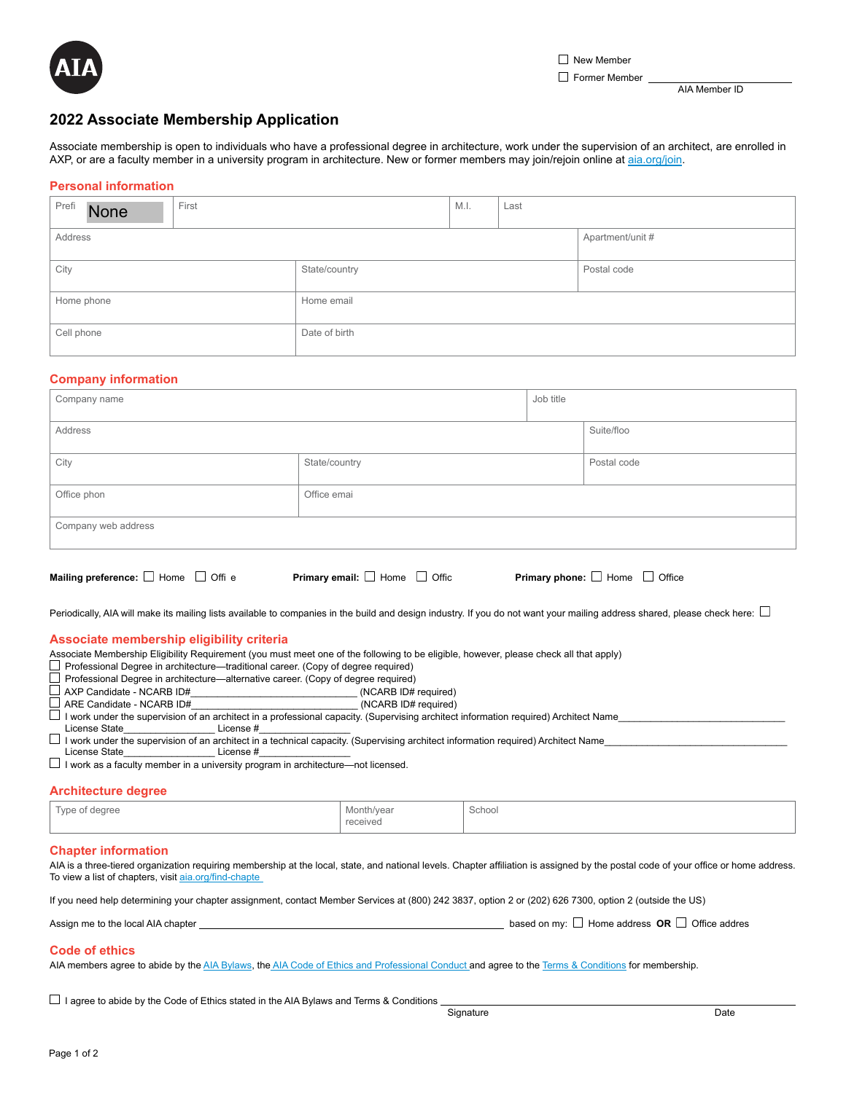

Former Member

AIA Member ID

# **2022 Associate Membership Application**

Associate membership is open to individuals who have a professional degree in architecture, work under the supervision of an architect, are enrolled in AXP, or are a faculty member in a university program in architecture. New or former members may join/rejoin online at [aia.org/join.](http://www.aia.org/join)

# **Personal information**

| Prefi<br>First<br><b>None</b> | M.I. |               |  | Last |                  |  |  |
|-------------------------------|------|---------------|--|------|------------------|--|--|
| Address                       |      |               |  |      | Apartment/unit # |  |  |
| City                          |      | State/country |  |      | Postal code      |  |  |
| Home phone                    |      | Home email    |  |      |                  |  |  |
| Cell phone                    |      | Date of birth |  |      |                  |  |  |

# **Company information**

| Mailing preference: $\Box$ Home $\Box$ Offi e | Primary email: $\Box$ Home $\Box$ Offic |           | Primary phone: $\Box$ Home $\Box$ Office |
|-----------------------------------------------|-----------------------------------------|-----------|------------------------------------------|
| Company web address                           |                                         |           |                                          |
| Office phon                                   | Office emai                             |           |                                          |
| City                                          | State/country                           |           | Postal code                              |
| Address                                       |                                         |           | Suite/floo                               |
| Company name                                  |                                         | Job title |                                          |

Periodically, AIA will make its mailing lists available to companies in the build and design industry. If you do not want your mailing address shared, please check here:  $\Box$ 

# **Associate membership eligibility criteria**

Associate Membership Eligibility Requirement (you must meet one of the following to be eligible, however, please check all that apply)

□ Professional Degree in architecture—traditional career. (Copy of degree required)

Professional Degree in architecture—alternative career. (Copy of degree required)

- AXP Candidate NCARB ID#\_\_\_\_\_\_\_\_\_\_\_\_\_\_\_\_\_\_\_\_\_\_\_\_\_\_\_\_\_\_\_ (NCARB ID# required)
- $\Box$  ARE Candidate NCARB ID#

 $\Box$  I work under the supervision of an architect in a professional capacity. (Supervising architect information required) Architect Name

License State\_\_\_\_\_\_\_\_\_\_\_\_\_\_\_\_\_\_\_\_\_\_License #\_

 $\Box$  I work under the supervision of an architect in a technical capacity. (Supervising architect information required) Architect Name

License State License #  $\Box$  I work as a faculty member in a university program in architecture—not licensed.

# **Architecture degree**

| $\overline{\phantom{a}}$<br>Type of degree<br>$\overline{ }$ | Month/year    | School<br>. |
|--------------------------------------------------------------|---------------|-------------|
|                                                              | received<br>. |             |

#### **Chapter information**

AIA is a three-tiered organization requiring membership at the local, state, and national levels. Chapter affiliation is assigned by the postal code of your office or home address. To view a list of chapters, visit [aia.org/find-chapte](http://www.aia.org/find-chapter)

If you need help determining your chapter assignment, contact Member Services at (800) 242 3837, option 2 or (202) 626 7300, option 2 (outside the US)

| Assign me to the local AIA chapter |  | based on my: $\Box$ Home address <b>OR</b> $\Box$ Office addres |  |
|------------------------------------|--|-----------------------------------------------------------------|--|
|                                    |  |                                                                 |  |

# **Code of ethics**

AIA members agree to abide by the [AIA Bylaws](https://content.aia.org/sites/default/files/2021-06/AIA_Bylaws_June_2021.pdf), the [AIA Code of Ethics and Professional Conduct a](https://www.aia.org/pages/3296-code-of-ethics--professional-conduct)nd agree to the [Terms & Conditions](https://www.aia.org/pages/182576-terms-and-conditions) for membership.

 $\Box$  I agree to abide by the Code of Ethics stated in the AIA Bylaws and Terms & Conditions